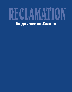# RECLAMATION [Supplemental Section](#page-4-0)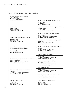## Bureau of Reclamation Organization Chart

| Commissioner, Bureau of Reclamation                                  |                                                                                |
|----------------------------------------------------------------------|--------------------------------------------------------------------------------|
| John W. Keys, III                                                    |                                                                                |
| 1849 C Street NW<br>Washington, DC 20240-0001                        |                                                                                |
|                                                                      | Regional Director, Great Plains Regional Office                                |
|                                                                      | Maryanne Bach                                                                  |
|                                                                      | P.O. Box 36900<br>Billings, Montana 59107-6900                                 |
|                                                                      |                                                                                |
| Senior Advisor                                                       | Regional Director, Lower Colorado Regional Office                              |
| <b>Margaret Sibley</b><br>1849 C Street NW                           | Robert W. Johnson                                                              |
| Washington, DC 20240-0001                                            | P.O. Box 61470<br>Boulder City, Nevada 89006-1470                              |
|                                                                      |                                                                                |
|                                                                      | Regional Director, Mid-Pacific Regional Office                                 |
|                                                                      | Kirk C. Rodgers                                                                |
| Deputy Commissioner/Director, Operations                             | Federal Office Building, 2800 Cottage Way<br>Sacramento, California 95825-1898 |
| William E. Rinne                                                     |                                                                                |
| 1849 C Street NW                                                     | Regional Director, Pacific Northwest Regional Office                           |
| Washington, DC 20240-0001                                            | <b>Bill McDonald</b>                                                           |
|                                                                      | 1150 North Curtis Road, Suite 100                                              |
|                                                                      | Boise, Idaho 83706-1234                                                        |
| Deputy Commissioner/Director,                                        | Regional Director, Upper Colorado Regional Office                              |
| External and Intergovernmental Affairs                               | <b>Rick Gold</b>                                                               |
| Mark Limbaugh                                                        | 125 South State Street, Room 6107                                              |
| 1849 C Street NW                                                     | Salt Lake City, Utah 84138-1102                                                |
| Washington, DC 20240-0001                                            |                                                                                |
|                                                                      | Director, Technical Service Center                                             |
|                                                                      | Michael Roluti                                                                 |
|                                                                      | P.O. Box 25007, Denver Federal Center                                          |
| Director, Policy, Management, and Technical Services                 | Denver, Colorado 80225-0007                                                    |
| Michael R. Gabaldon                                                  | Director, Management Services Office                                           |
| P.O. Box 25007, Denver Federal Center<br>Denver, Colorado 80225-0007 | Elizabeth Cordova-Harrison                                                     |
|                                                                      | P.O. Box 25007, Denver Federal Center                                          |
|                                                                      | Denver, Colorado 80225-0007                                                    |
|                                                                      | Chief Information Officer                                                      |
| Director, Security, Safety, and Law Enforcement                      | <b>Randy Feuerstein</b>                                                        |
|                                                                      | P.O. Box 25007, Denver Federal Center                                          |
| Larry Todd<br>P.O. Box 25007, Denver Federal Center                  | Denver, Colorado 80225-0007                                                    |
| Denver, Colorado 80225-0007                                          | Director, Office of Program and Policy Services                                |
|                                                                      | Roseann Gonzales                                                               |
|                                                                      | P.O. Box 25007, Denver Federal Center                                          |
|                                                                      | Denver, Colorado 80225-0007                                                    |
| Director, Program and Budget                                         | Director, Research and Development                                             |
| <b>Robert Wolf</b>                                                   | <b>Shannon Cunniff</b>                                                         |
| 1849 C Street NW<br>Washington, DC 20240-0001                        | 1849 C Street NW<br>Washington, DC 20240-0001                                  |
|                                                                      |                                                                                |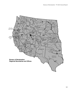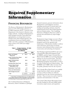# **Required Supplementary** Information

## **[FINANCIAL RESOURCES](#page-5-0)**

The Bureau of Reclamation's (Reclamation) fiscal year (FY) 2003 budget authority of \$1 billion represents about 7.1 percent of the Department of the Interior's (Interior) total budget authority. Funding for Reclamation's major program activities is provided from appropriations, revolving fund revenues, transfers from other Federal agencies, and contributions from non-Federal entities. Table 1 provides a summary of Reclamation's major sources of FY 2003 new budget authority.

| Table 1.- Budget Authority - FY 2003 |  |
|--------------------------------------|--|
| Comparative 2003/2002 <sup>1</sup>   |  |
| (\$ in Millions)                     |  |

|                                                   |     | 2003    |    | 2002    |
|---------------------------------------------------|-----|---------|----|---------|
| Water and Related<br>Resources                    | \$  | 759.3   | \$ | 939.7   |
| Lower Colorado River Basin<br>Development Fund    |     | 30.7    |    | 33.1    |
| Upper Colorado River<br>Basin Fund                |     | 38.3    |    | 15.6    |
| Colorado River Dam Fund                           |     | 68.8    |    | 61.3    |
| Central Valley Project<br><b>Restoration Fund</b> |     | 48.9    |    | 55.0    |
| <b>Reclamation Trust Funds</b>                    |     | 2.9     |    | 24.2    |
| Policy and Administration                         |     | 54.9    |    | 53.0    |
| Other Budget Accounts                             |     | 10.7    |    | 20.0    |
| Total                                             | \$. | 1,014.5 | S  | 1,201.9 |
|                                                   |     |         |    |         |

<sup>1</sup> Under Water and Related Resources, FY 2002 includes a \$200-million transfer from the Commodity Credit Corporation for At Risk Desert Terminal Lakes (Public Law 107-171).

The Combined Statement of Budgetary Resources, which is included as a principal

financial statement, presents information about Reclamation's total budgetary resources, including carryforward of unused, prior year funding and spending authority created by reimbursements from other Federal agencies and non-Federal entities. The Combining Statement of Budgetary Resources (table 2) presents this information by major budget account.

Reclamation's largest budget account is Water and Related Resources. This account funds programs used for the operation and maintenance of Reclamation facilities to deliver water and power, preservation of natural resources, and continued efforts toward water conservation and technology development.

The Working Capital Fund (WCF), the Lower Colorado River Basin Development Fund (LCRBDF), and the Upper Colorado River Basin Fund (UCRBF) are revolving funds that operate on a fee for service basis. The WCF provides support services and equipment for Reclamation programs and activities, as well as for other Federal and non-Federal entities. The LCRBDF and UCRBF collect revenues from the public, primarily from the sale of power.

The Colorado River Dam Fund is an available receipt fund into which various operating revenues of Hoover Dam are collected, primarily from the sale of power generated at the dam. These revenues are used to fund the operation and maintenance of the dam.

The Central Valley Project Restoration Fund provides funding for fish and wildlife habitat restoration, improvement, and acquisition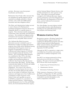<span id="page-4-0"></span>activities. Revenues come from project beneficiaries and donations.

Reclamation Trust Funds collect amounts that are earmarked for specific purposes and are expended accordingly, primarily to finance activities, such as fish and wildlife habitat restoration and other mitigation efforts.

The Policy and Administration budget account is used to finance all of Reclamation's centralized management functions that are not chargeable directly to a specific project or program. These functions include management of personnel, safety and health, and information resources. Also included are budgetary policy formulation and execution, procurement and general services, and public affairs activities.

The California Bay-Delta Ecosystem Restoration account is included as part of Reclamation's budget for budget presentation purposes; these funds will be distributed among participating Federal agencies, based on a program recommended by the State of California and Federal Agencies (CALFED) group and approved by the Secretary of the Interior. The CALFED Bay-Delta Program was established in May 1995 to develop a comprehensive, long-term solution to the complex and interrelated problems in California's San Francisco Bay/Sacramento-San Joaquin Delta (Bay-Delta). The Bay-Delta system provides habitat for 120 fish and wildlife species, some listed as threatened or endangered. The system is also critical to California's economy because the two rivers that flow into the Bay-Delta provide potable water for two-thirds of California's homes and businesses and irrigate more than 4 million acres of farmland on which 45 percent of the Nation's fruits and vegetables are grown. CALFED is comprised of a consortium of Federal and State agencies. Federal agencies include Reclamation, the U.S. Fish and Wildlife Service, the Environmental Protection Agency,

and the National Marine Fisheries Service, with possible participation by other agencies in the future. State agency involvement includes oversight by the California Resources Agency and the participation of the State Department of Water Resources, the Department of Fish and Game, and the California Environmental Protection Agency.

The Other Budget Accounts balances include several smaller activities within Reclamation, including the San Gabriel Restoration Fund, loan program, and financing funds.

## **[WORKING CAPITAL FUND](#page-5-0)**

Reclamation operates a Working Capital Fund to efficiently finance support services and equipment for Reclamation programs and other various Federal and non-Federal agencies. Table 3 presents balance sheet information on the financial position of the WCF as of September 30, 2003 and 2002.

Although the WCF is operated as a single entity, it is divided into 22 activities and numerous subactivities to facilitate management of the fund.

The WCF is an intragovernmental revolving fund and recovers the full cost of doing business. The types of services provided by the WCF fall into three broad categories:

- 1. Engineering and Technical Services
- 2. Administrative Services
- 3. Information Technology Services

Table 4 presents a Statement of Net Cost for the WCF as of September 30, 2003, and 2002. The presentation by major category of services is intended to provide information on the relative composition of the WCF.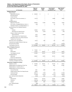## <span id="page-5-0"></span>Table 2.—U.S. Department of the Interior, Bureau of Reclamation<br>Combining Statement of Budgetary Resources<br>For the Year Ended September 30, 2003

| (In Thousands)                                     | <b>Water and</b><br>Related<br><b>Resources</b> | Working<br>Capital<br>Fund | <b>Lower Colorado</b><br><b>River Basin</b><br><b>Development Fund</b> | <b>Upper Colorado</b><br><b>River Basin</b><br>Fund |
|----------------------------------------------------|-------------------------------------------------|----------------------------|------------------------------------------------------------------------|-----------------------------------------------------|
| <b>Budgetary Resources:</b>                        |                                                 |                            |                                                                        |                                                     |
| <b>Budget Authority:</b>                           |                                                 |                            |                                                                        |                                                     |
| Appropriations Received                            | \$<br>832,509                                   | \$                         | \$                                                                     | \$                                                  |
| <b>Borrowing Authority</b>                         |                                                 |                            |                                                                        |                                                     |
| <b>Contract Authority</b>                          |                                                 |                            |                                                                        |                                                     |
| Net Transfers, Current Year Authority (+/-)        | (73, 151)                                       |                            | 30,689                                                                 | 38,365                                              |
| Other<br>Unobligated Balance:                      |                                                 |                            |                                                                        |                                                     |
| Beginning of Fiscal Year                           | 256,269                                         | 31,903                     | 119,374                                                                | 16,263                                              |
| Net Transfers, Unobligated Balances, Actual (+/-)  | (425)                                           |                            | 132                                                                    | 791                                                 |
| Anticipated Transfers of Unobligated Balance (+/-) |                                                 |                            |                                                                        |                                                     |
| Spending Authority From Offsetting Collections:    |                                                 |                            |                                                                        |                                                     |
| Earned:                                            |                                                 |                            |                                                                        |                                                     |
| Collected                                          | 186,366                                         | 324,272                    | 151,542                                                                | 67,458                                              |
| Receivable From Federal Sources                    | (9, 725)                                        | (4, 440)                   | (2,081)                                                                | (334)                                               |
| Change in Unfilled Customer Orders:                |                                                 |                            |                                                                        |                                                     |
| <b>Advance Received</b>                            | 9,379                                           | (2,829)                    | (1,231)                                                                | 20,000                                              |
| <b>Without Advance From Federal Sources</b>        | (9,869)                                         |                            |                                                                        |                                                     |
| Anticipated for Rest of Year, Without Advances     |                                                 |                            |                                                                        |                                                     |
| <b>Transfers From Trust Funds</b>                  |                                                 |                            |                                                                        |                                                     |
| Recoveries of Prior Year Obligations               | 24,130                                          | 1,485                      | 544                                                                    | 2,916                                               |
| Temporarily Not Available Pursuant to Public Law   |                                                 |                            |                                                                        |                                                     |
| Permanently Not Available                          | (4,788)                                         |                            | (1,247)                                                                | (24, 523)                                           |
| <b>Total Budgetary Resources</b>                   | \$1,210,695                                     | \$<br>350,391              | \$<br>297,722                                                          | \$<br>120,936                                       |
| <b>Status of Budgetary Resources:</b>              |                                                 |                            |                                                                        |                                                     |
| Obligations Incurred:                              |                                                 |                            |                                                                        |                                                     |
| Direct                                             | \$<br>776,564                                   | \$                         | \$                                                                     | \$                                                  |
| Reimbursable                                       | 167,504                                         | 325,421                    | 135,748                                                                | 98,533                                              |
| <b>Total Obligations Incurred</b>                  | 944,068                                         | 325,421                    | 135,748                                                                | 98,533                                              |
| Unobligated Balance:                               |                                                 |                            |                                                                        |                                                     |
| Apportioned                                        | 266,627                                         | 24,970                     | 161,974                                                                | 22,403                                              |
| <b>Exempt From Apportionment</b>                   |                                                 |                            |                                                                        |                                                     |
| Unobligated Balance not Available                  |                                                 |                            |                                                                        |                                                     |
| <b>Total Status of Budgetary Resources</b>         | \$1,210,695                                     | \$<br>350,391              | \$<br>297,722                                                          | \$<br>120,936                                       |
| <b>Relationship of Obligations to Outlays:</b>     |                                                 |                            |                                                                        |                                                     |
| Obligations Incurred                               | \$<br>944,068                                   | \$<br>325,421              | \$<br>135,748                                                          | \$<br>98,533                                        |
| Obligated Balance, Net, Beginning of Fiscal Year   | 335,077                                         | 14,279                     | 3,905                                                                  | 115,965                                             |
| Obligated Balance, Transferred, Net (+/-)          |                                                 |                            |                                                                        |                                                     |
| Obligated Balance, Net, End of Fiscal Year:        |                                                 |                            |                                                                        |                                                     |
| <b>Accounts Receivable</b>                         | 9,921                                           | 4,923                      | 7,622                                                                  | 68                                                  |
| Unfilled Customer Orders From Federal Sources      | 28,366                                          |                            |                                                                        |                                                     |
| <b>Undelivered Orders</b>                          | (265, 211)                                      | (7,087)                    | (373)                                                                  | (31,082)                                            |
| <b>Accounts Payable</b>                            | (112,260)                                       | (16, 012)                  | (14, 179)                                                              | (98,095)                                            |
| Less: Spending Authority Adjustments               | (4,536)                                         | 2,955                      | 1,538                                                                  | (2,583)                                             |
| Outlays:                                           |                                                 |                            |                                                                        |                                                     |
| Disbursements                                      | 935,425                                         | 324,479                    | 134,261                                                                | 82,806                                              |
| Collections                                        | (195, 745)                                      | (321, 443)                 | (150, 311)                                                             | (87, 458)                                           |
| Subtotal                                           | 739,680                                         | 3,036                      | (16,050)                                                               | (4,652)                                             |
| Less: Offsetting Receipts                          | (408)                                           |                            |                                                                        |                                                     |
| <b>Net Outlays</b>                                 | \$<br>739,272                                   | \$<br>3,036                | \$<br>(16,050)                                                         | \$<br>(4,652)                                       |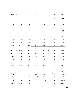| <b>Colorado River</b><br>Dam Fund |      | <b>Central Valley</b><br>Project<br><b>Restoration Fund</b> | Reclamation<br><b>Trust Fund</b> | Policy and<br>Administration    |      | California Bay-<br>Delta Ecosystem<br>Restoration | Other<br><b>Budget</b><br><b>Accounts</b> | Total<br><b>Budgetary</b><br><b>Accounts</b> |
|-----------------------------------|------|-------------------------------------------------------------|----------------------------------|---------------------------------|------|---------------------------------------------------|-------------------------------------------|----------------------------------------------|
|                                   |      |                                                             |                                  |                                 |      |                                                   |                                           |                                              |
| \$<br>68,760                      | \$   | 48,904                                                      | \$<br>2,942                      | \$<br>54,870                    | \$   |                                                   | \$<br>705                                 | \$<br>1,008,690                              |
|                                   |      |                                                             |                                  |                                 |      |                                                   |                                           |                                              |
|                                   |      |                                                             |                                  |                                 |      |                                                   |                                           |                                              |
|                                   |      |                                                             |                                  |                                 |      |                                                   | 10,000                                    | 5,903                                        |
|                                   |      |                                                             |                                  |                                 |      |                                                   |                                           |                                              |
| 6,051                             |      | 874                                                         | 46,873                           | 224                             |      | 32,659                                            | 6,500                                     | 516,990                                      |
|                                   |      |                                                             |                                  |                                 |      |                                                   |                                           | 498                                          |
|                                   |      |                                                             |                                  |                                 |      |                                                   |                                           |                                              |
|                                   |      |                                                             |                                  |                                 |      |                                                   |                                           | 729,638                                      |
|                                   |      |                                                             |                                  |                                 |      |                                                   |                                           | (16, 580)                                    |
|                                   |      |                                                             |                                  |                                 |      |                                                   |                                           |                                              |
|                                   |      |                                                             |                                  |                                 |      |                                                   |                                           | 25,319<br>(9,869)                            |
|                                   |      |                                                             |                                  |                                 |      |                                                   |                                           |                                              |
|                                   |      |                                                             |                                  |                                 |      |                                                   |                                           |                                              |
| 301                               |      | 2,551                                                       | 295                              | 843                             |      | 2,910                                             | $\overline{7}$                            | 35,982                                       |
| $\overline{\phantom{0}}$          |      |                                                             |                                  | $\overline{\phantom{m}}$        |      |                                                   |                                           |                                              |
| (1, 410)                          |      | (61)                                                        |                                  | (357)                           |      |                                                   | (65)                                      | (32, 451)                                    |
| \$<br>73,702                      | \$   | 52,268                                                      | \$<br>50,110                     | \$<br>55,580                    | \$   | 35,569                                            | \$<br>17,147                              | \$<br>2,264,120                              |
|                                   |      |                                                             |                                  |                                 |      |                                                   |                                           |                                              |
| \$<br>64,947                      | \$   | 51,448                                                      | \$<br>8,761                      | \$<br>54,413                    | \$   | 5,887                                             | \$<br>16,151                              | \$<br>978,171                                |
|                                   |      |                                                             |                                  | $\overbrace{\phantom{1232211}}$ |      | $\overbrace{\phantom{123221111}}$                 |                                           | 727,206                                      |
| 64,947                            |      | 51,448                                                      | 8,761                            | 54,413                          |      | 5,887                                             | 16,151                                    | 1,705,377                                    |
| 8,755                             |      | 820                                                         |                                  | 1,167                           |      | 29,682                                            | 996                                       | 517,394                                      |
|                                   |      |                                                             | 41,349                           |                                 |      |                                                   |                                           | 41,349                                       |
|                                   |      |                                                             |                                  |                                 |      |                                                   |                                           |                                              |
| \$<br>73,702                      | $\$$ | 52,268                                                      | \$<br>50,110                     | \$<br>55,580                    | $\,$ | 35,569                                            | \$<br>17,147                              | \$<br>2,264,120                              |
|                                   |      |                                                             |                                  |                                 |      |                                                   |                                           |                                              |
| \$<br>64,947                      | \$   | 51,448                                                      | \$<br>8,761                      | \$<br>54,413                    | \$   | 5,887                                             | \$<br>16,151                              | \$<br>1,705,377                              |
| 3,609                             |      | 48,005                                                      | 13,509                           | 9,129                           |      | 42,530                                            | 32,268                                    | 618,276                                      |
|                                   |      |                                                             |                                  |                                 |      |                                                   |                                           |                                              |
|                                   |      |                                                             |                                  |                                 |      |                                                   |                                           | 22,534                                       |
|                                   |      |                                                             |                                  |                                 |      |                                                   |                                           | 28,366                                       |
| (1,001)                           |      | (44, 082)                                                   | (5,748)                          | (5,743)                         |      | (29, 382)                                         | (32, 351)                                 | (422,060)                                    |
| (1,958)                           |      | (6, 374)                                                    | (768)                            | (2,025)                         |      | (2,626)                                           | (1,929)                                   | (256, 226)                                   |
| (301)                             |      | (2, 551)                                                    | (295)                            | (843)                           |      | (2,910)                                           | (7)                                       | (9,533)                                      |
| 65,296                            |      | 46,446                                                      | 15,459                           | 54,931                          |      | 13,499                                            | 14,132                                    | 1,686,734                                    |
| $\hspace{0.1mm}$                  |      | $\sim$ $-$                                                  | $\overline{\phantom{m}}$         | $\hspace{0.1mm}$                |      |                                                   | $\overline{\phantom{a}}$                  | (754, 957)                                   |
| 65,296                            |      | 46,446                                                      | 15,459                           | 54,931                          |      | 13,499                                            | 14,132                                    | 931,777                                      |
| (68, 761)                         |      | (44,900)                                                    | (2,942)                          | $\overline{\phantom{0}}$        |      |                                                   | (1,268,554)                               | (1,385,565)                                  |
|                                   |      |                                                             |                                  |                                 |      |                                                   |                                           |                                              |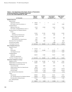## Table 2.—U.S. Department of the Interior, Bureau of Reclamation<br>Combining Statement of Budgetary Resources<br>For the Year Ended September 30, 2002

| (In Thousands)                                       | <b>Water and</b><br>Related<br><b>Resources</b> | Working<br>Capital<br><b>Fund</b> | <b>Lower Colorado</b><br><b>River Basin</b><br><b>Development Fund</b> | <b>Upper Colorado</b><br><b>River Basin</b><br>Fund |
|------------------------------------------------------|-------------------------------------------------|-----------------------------------|------------------------------------------------------------------------|-----------------------------------------------------|
| <b>Budgetary Resources:</b>                          |                                                 |                                   |                                                                        |                                                     |
| <b>Budget Authority:</b>                             |                                                 |                                   |                                                                        |                                                     |
| Appropriations Received                              | \$<br>748,819                                   | \$                                | \$                                                                     | \$                                                  |
| Net Transfers, Current Year Authority (+/-)          | 190,888                                         |                                   | 33,142                                                                 | 15,560                                              |
| Unobligated Balance:                                 |                                                 |                                   |                                                                        |                                                     |
| Beginning of Fiscal Year                             | 67,518                                          | 27,330                            | 72,919                                                                 | 13,591                                              |
| Net Transfers, Unobligated Balances, Actual (+/-)    | 1,690                                           |                                   | 137                                                                    | 403                                                 |
| Spending Authority From Offsetting Collections:      |                                                 |                                   |                                                                        |                                                     |
| Earned:                                              |                                                 |                                   |                                                                        |                                                     |
| Collected                                            | 187,902                                         | 311,595                           | 135,050                                                                | 61,606                                              |
| Receivable From Federal Sources                      | (5, 429)                                        | 1,176                             | 1,685                                                                  | 87                                                  |
| Change in Unfilled Customer Orders:                  |                                                 |                                   |                                                                        |                                                     |
| <b>Advance Received</b>                              | 1,758                                           | (583)                             | 1,467                                                                  | (88)                                                |
| Without Advance From Federal Sources                 | 6,624                                           |                                   |                                                                        |                                                     |
| Recoveries of Prior Year Obligations                 | 31,653                                          | 2,882                             | 156                                                                    | 3.663                                               |
| Permanently Not Available                            | (285)                                           |                                   | (1,030)                                                                | (2,717)                                             |
| <b>Total Budgetary Resources</b>                     | \$1,231,138                                     | \$<br>342,400                     | \$<br>243,526                                                          | \$<br>92,105                                        |
| <b>Status of Budgetary Resources:</b>                |                                                 |                                   |                                                                        |                                                     |
| Obligations Incurred:                                |                                                 |                                   |                                                                        |                                                     |
| <b>Direct</b>                                        | \$<br>781,126                                   | \$                                | \$                                                                     | \$                                                  |
| Reimbursable                                         | 193,742                                         | 310,498                           | 124,152                                                                | 75,842                                              |
| <b>Total Obligations Incurred</b>                    | 974,868                                         |                                   | 124,152                                                                | 75,842                                              |
| Unobligated Balance:                                 |                                                 |                                   |                                                                        |                                                     |
| Apportioned                                          | 256,270                                         | 31,902                            | 119,374                                                                | 16,263                                              |
| <b>Exempt From Apportionment</b>                     |                                                 |                                   |                                                                        |                                                     |
| <b>Total Status of Budgetary Resources</b>           | \$1,231,138                                     | \$<br>342,400                     | \$<br>243,526                                                          | \$<br>92,105                                        |
| <b>Relationship of Obligations to Outlays:</b>       |                                                 |                                   |                                                                        |                                                     |
| Obligations Incurred                                 | \$<br>974,868                                   | \$<br>310,498                     | \$<br>124,152                                                          | \$<br>75,842                                        |
| Obligated Balance, Net, Beginning of Fiscal Year     | 282,884                                         | 14,263                            | 5,055                                                                  | 116,943                                             |
| Obligated Balance, Net, End of Fiscal Year:          |                                                 |                                   |                                                                        |                                                     |
| <b>Accounts Receivable</b>                           | 19,646                                          | 9,363                             | 9,703                                                                  | 402                                                 |
| Unfilled Customer Orders From Federal Sources        | 38,235                                          |                                   |                                                                        |                                                     |
| <b>Undelivered Orders</b>                            | (276, 878)                                      | (6, 159)                          | (2,919)                                                                | (25, 918)                                           |
| <b>Accounts Payable</b>                              | (116,080)                                       | (17, 483)                         | (10, 689)                                                              | (90, 449)                                           |
| Less: Spending Authority Adjustments                 | (32, 847)                                       | (4,058)                           | (1, 841)                                                               | (3,750)                                             |
| Outlays:                                             |                                                 |                                   |                                                                        |                                                     |
| Disbursements                                        | 889,828                                         | 306,424                           | 123,461                                                                | 73,070                                              |
| Less: Spending Authority From Offsetting Collections | (189, 661)                                      | (311, 011)                        | (136, 517)                                                             | (61, 518)                                           |
| Net Outlays Before Offsetting Receipts               | 700,167                                         | (4, 587)                          | (13,056)                                                               | 11,552                                              |
| Less: Offsetting Receipts                            | (353)                                           | —                                 |                                                                        | -                                                   |
| <b>Net Outlays</b>                                   | \$<br>699,814                                   | \$<br>(4, 587)                    | \$<br>(13,056)                                                         | \$<br>11,552                                        |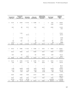| <b>Colorado River</b><br>Dam Fund | <b>Central Valley</b><br>Project<br><b>Restoration Fund</b> | Reclamation<br><b>Trust Funds</b> | Policy and<br>Administration |    | California Bay-<br>Delta Ecosystem<br>Restoration | <b>Other Budget</b><br><b>Accounts</b> | Combined<br><b>Budgetary</b><br>Total |
|-----------------------------------|-------------------------------------------------------------|-----------------------------------|------------------------------|----|---------------------------------------------------|----------------------------------------|---------------------------------------|
| \$<br>61,331                      | \$<br>55,039                                                | \$24,192                          | \$<br>52,968                 | \$ |                                                   | \$<br>8,035                            | \$<br>950,384                         |
|                                   |                                                             |                                   |                              |    |                                                   | 12,000                                 | 251,590                               |
| 9,941                             | 859                                                         | 51,074                            | 2,243                        |    | 44,671                                            | 23,902                                 | 314,048                               |
|                                   |                                                             |                                   |                              |    |                                                   |                                        | 2,230                                 |
|                                   |                                                             |                                   |                              |    |                                                   |                                        |                                       |
|                                   | 11,790                                                      |                                   |                              |    |                                                   |                                        | 707,943                               |
|                                   | —                                                           | (18, 131)                         |                              |    |                                                   |                                        | (20, 612)                             |
|                                   | (11,790)                                                    |                                   |                              |    |                                                   |                                        | (9,236)                               |
|                                   |                                                             |                                   |                              |    |                                                   |                                        | 6,624                                 |
| 765                               | 1,661                                                       | 49                                | 980                          |    | 8,439                                             | 825                                    | 51,073                                |
| (2,771)                           | $\overline{\phantom{0}}$                                    | $\overline{\phantom{0}}$          | (31)                         |    | $\overline{\phantom{0}}$                          | (35)                                   | (6, 869)                              |
| \$<br>69,266                      | \$<br>57,559                                                | \$57,184                          | \$<br>56,160                 | \$ | 53,110                                            | \$<br>44,727                           | \$<br>2,247,175                       |
|                                   |                                                             |                                   |                              |    |                                                   |                                        |                                       |
| \$<br>63,215                      | \$<br>56,685                                                | \$10,310                          | \$<br>55,936                 | \$ | 20,451                                            | \$<br>38,228                           | \$<br>1,025,951                       |
|                                   |                                                             |                                   |                              |    |                                                   |                                        | 704,234                               |
| 63,215                            | 56,685                                                      | 10,310                            | 55,936                       |    | 20,451                                            | 38,228                                 | 1,730,185                             |
| 6,051                             | 874                                                         | $\overline{\phantom{m}}$          | 224                          |    | 32,659                                            | 6,499                                  | 470,116                               |
| $\overline{\phantom{0}}$          | $\overbrace{\phantom{12322111}}$                            | 46,874                            | $\overline{\phantom{0}}$     |    |                                                   | $\overline{\phantom{m}}$               | 46,874                                |
| \$<br>69,266                      | \$<br>57,559                                                | \$57,184                          | \$<br>56,160                 | \$ | 53,110                                            | \$<br>44,727                           | \$<br>2,247,175                       |
| \$<br>63,215                      | \$<br>56,685                                                | \$10,310                          | \$<br>55,936                 | \$ | 20,451                                            | \$<br>38,228                           | \$<br>1,730,185                       |
| 4,446                             | 39,577                                                      | 378                               | 7,948                        |    | 65,345                                            | 6,900                                  | 543,739                               |
|                                   |                                                             |                                   |                              |    |                                                   |                                        | 39,114                                |
| $\overline{\phantom{m}}$          | $\overline{\phantom{m}}$                                    |                                   | $\overline{\phantom{m}}$     |    |                                                   | $\overline{\phantom{m}}$               | 38,235                                |
| (1,039)                           | (39,660)                                                    | (6, 343)                          | (6, 281)                     |    | (38, 470)                                         | (29, 200)                              | (432, 867)                            |
| (2,570)                           | (8, 345)                                                    | (7, 166)                          | (2,848)                      |    | (4,060)                                           | (3,068)                                | (262, 758)                            |
| (765)                             | (1,661)                                                     | 18,081                            | (980)                        |    | (8, 439)                                          | (825)                                  | (37,085)                              |
|                                   |                                                             |                                   |                              |    |                                                   |                                        |                                       |
| 63,287                            | 46,596                                                      | 15,260                            | 53,775                       |    | 34,827                                            | 12,035                                 | 1,618,563                             |
| $\overline{\phantom{m}}$          | $\overline{\phantom{m}}$                                    | $\overline{\phantom{m}}$          | $\overline{\phantom{0}}$     |    |                                                   |                                        | (698, 707)                            |
| 63,287                            | 46,596                                                      | 15,260                            | 53,775                       |    | 34,827                                            | 12,035                                 | 919,856                               |
| (61, 331)                         | (54, 714)                                                   | (24, 192)                         |                              |    |                                                   | (1,002,758)                            | (1, 143, 348)                         |
| \$<br>1,956                       | \$<br>(8, 118)                                              | \$ (8,932)                        | \$<br>53,775                 | \$ | 34,827                                            | \$<br>(990, 723)                       | \$<br>(223, 492)                      |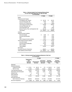|                                             | FY 2003      | FY 2002      |
|---------------------------------------------|--------------|--------------|
| Assets                                      |              |              |
| Intragovernmental Assets:                   |              |              |
| Fund Balance with Treasury                  | \$<br>43,145 | \$<br>46,181 |
| Accounts Receivable, Net                    | 3,483        | 9,357        |
| <b>Advances and Prepayments</b>             | 400          | 5,053        |
| <b>Total Intragovernmental Assets</b>       | 47,028       | 60,591       |
| Accounts Receivable, Net                    | 1,527        | 48           |
| Loans Receivable, Net                       | 3,630        | 4,000        |
| General Property, Plant, and Equipment, Net | 35,156       | 31,448       |
| <b>Total Assets</b>                         | \$<br>87,341 | \$<br>96,087 |
| Liabilities                                 |              |              |
| Intragovernmental Liabilities:              |              |              |
| <b>Accounts Payable</b>                     | \$<br>1,626  | \$<br>3,876  |
| <b>Accrued Payroll Benefits</b>             | 3,630        | 4,552        |
| Debt                                        | 3,815        | 4,000        |
| Other Intragovernmental Liabilities         | 2,074        | 3,353        |
| Total Intragovernmental Liabilities         | 11,145       | 15,781       |
| <b>Accounts Payable</b>                     | 4,940        | 3,599        |
| <b>Accrued Payroll and Benefits</b>         | 14,070       | 13,858       |
| <b>Other Liabilities</b>                    | 879          | 2,279        |
| <b>Total Liabilities</b>                    | 31,034       | 35,517       |
| <b>Net Position</b>                         |              |              |
| <b>Cumulative Results of Operations</b>     | 56,307       | 60,570       |
| <b>Total Liabilities and Net Position</b>   | \$<br>87,341 | \$<br>96,087 |

## Table 3.—Working Capital Fund Combined Balance Sheet<br>For the Year Ended September 30, 2003 and 2002<br>(In Thousands)

## Table 4.—Working Capital Fund Combining Statement of Net Cost<br>(In Thousands)

|                                 |                                                                  |           |                                   | FY 2002    |                                                     |           |                                         |            |                                         |            |
|---------------------------------|------------------------------------------------------------------|-----------|-----------------------------------|------------|-----------------------------------------------------|-----------|-----------------------------------------|------------|-----------------------------------------|------------|
|                                 | <b>Engineering</b><br>and<br><b>Technical</b><br><b>Services</b> |           | Administrative<br><b>Services</b> |            | <b>Information</b><br>Technology<br><b>Services</b> |           | Working<br><b>Capital Fund</b><br>Total |            | Working<br><b>Capital Fund</b><br>Total |            |
| Expenses:                       |                                                                  |           |                                   |            |                                                     |           |                                         |            |                                         |            |
| <b>Operating Expenses:</b>      |                                                                  |           |                                   |            |                                                     |           |                                         |            |                                         |            |
| Intragovernmental               | \$                                                               | 37,791    | \$                                | 90,213     | \$                                                  | 371       | \$.                                     | 128,375    | \$                                      | 113,501    |
| With the Public                 |                                                                  | 57,188    |                                   | 119,939    |                                                     | 12,318    |                                         | 189,445    |                                         | 191,521    |
| <b>Total Operating Expenses</b> |                                                                  | 94,979    |                                   | 210,152    |                                                     | 12,689    |                                         | 317,820    |                                         | 305,022    |
| Depreciation and Amortization   |                                                                  | 2,200     |                                   | 1,239      |                                                     | 2,276     |                                         | 5,715      |                                         | 5,616      |
| <b>Imputed Costs</b>            |                                                                  | 0         |                                   | 10,799     |                                                     | 0         |                                         | 10,799     |                                         | 9,594      |
| Other Expenses                  |                                                                  | 131       |                                   | 64         |                                                     | 3         |                                         | 198        |                                         | 958        |
| <b>Total Expenses</b>           |                                                                  | 97,310    |                                   | 222,254    |                                                     | 14,968    |                                         | 334,532    |                                         | 321,190    |
| <b>Exchange Revenues:</b>       |                                                                  |           |                                   |            |                                                     |           |                                         |            |                                         |            |
| Sale of Goods and Services      |                                                                  | (98, 644) |                                   | (205, 487) |                                                     | (15, 153) |                                         | (319, 284) |                                         | (311, 974) |
| Net Cost of Operations          | \$                                                               | (1, 334)  | \$                                | 16,767     | \$                                                  | (185)     | \$                                      | 15,248     | \$                                      | 9,216      |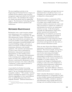The most significant activities in the Engineering and Technical Services category are technical services related to water resources management support provided by the Technical Service Center. Also included in this category are vehicles and aircraft used for engineering support. The Information Technology Services category includes software operations and maintenance.

### **[DEFERRED MAINTENANCE](#page-5-0)**

Reclamation owns a water resources management infrastructure with a combined total value of \$20.8 billion, as of September 30, 2003. This infrastructure consists of diversion and storage dams; hydroelectric powerplants; water conveyance facilities (canals, pipelines, siphons, tunnels, and pumps); recreational facilities; and associated buildings, bridges, and roads, as well as an inventory of related construction, maintenance, laboratory, and scientific equipment. The operation and maintenance of some of these assets is performed by Reclamation using annual or permanent appropriations or other funding sources available to it. The operation and maintenance of the remaining assets, making up approximately one-half of the combined total value of all assets, is performed by Reclamation's water and power customers or by others (collectively, "contractors") at their expense pursuant to contracts with Reclamation.

As provided by the Federal Accounting Standards Advisory Board,<sup>1</sup> maintenance and repair is "the act of keeping fixed assets in an acceptable condition." This excludes "activities aimed at expanding the capacity of an asset or otherwise upgrading it to serve needs different from, or significantly greater than, those originally intended." Deferred maintenance is

defined as "maintenance and repair that was not performed when it should have been or was scheduled to be and which, therefore, is put off or delayed for a future period."

Reclamation employs a commercial, off-theshelf maintenance management system on many of its larger, more complex facilities and performs condition assessment site reviews and other assessments to estimate the condition of, and determine the need for, any maintenance related to its assets. Under this program, essentially all of Reclamation's major assets, whether operated and maintained by Reclamation or its contractors, are assessed triennially. The monitoring and tracking of maintenance-related deficiencies and/or recommendations of water and power related infrastructure are generally conducted on an annual basis and reported in the dam safety or power resources information system.

There are many factors that influence whether maintenance is performed as scheduled or deferred. These factors include, among others, limitations on access to facilities (e.g., due to water levels); intervening technological innovations or developments; seasonal or climatological considerations; reassessment of priorities; delays in the contract-award process; availability of, or delays related to, the contractor; and changes in funding priorities resulting, in some cases, from emergencies or unforeseen critical maintenance requirements. It is Reclamation's policy to give critical maintenance—that which addresses a threat to life, property, and safety—the highest priority in attention and resources.

Table 5 identifies Reclamation's estimate of deferred maintenance as of September 30, 2003, on those facilities operated and maintained by it. The Reserved facilities, currently in operation and maintenance status, include general (nonheritage) and stewardship (heritage assets) that

<sup>1</sup>*Statement of Federal Financial Accounting Standards Number 6*.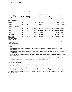|                                                                                         | Item(s)    | <b>Condition</b> |           | <b>Estimated Range of Deferred</b><br><b>Maintenance for 2003</b> |                             |           |              |            |  |
|-----------------------------------------------------------------------------------------|------------|------------------|-----------|-------------------------------------------------------------------|-----------------------------|-----------|--------------|------------|--|
| Type of<br><b>Deferred</b>                                                              | Covered    | Category         |           | <b>General PP&amp;E</b>                                           | <b>Stewardship PP&amp;E</b> |           | <b>Total</b> |            |  |
| <b>Maintenance</b>                                                                      | Note $(1)$ | Note $(2)$       | Low       | High                                                              | Low                         | High      | Low          | High       |  |
| Roads Bridges and Trails                                                                |            |                  |           |                                                                   |                             |           |              |            |  |
| <b>Bridges</b>                                                                          | D          | F, G             | 1,500     | 211,500                                                           | $\mathbf 0$                 | 0         | 1,500        | 211,500    |  |
| <b>Tunnels</b>                                                                          | D          | G, F, P          | 248       | 665,248                                                           | $\Omega$                    | 0         | 248          | 665,248    |  |
| Irrigation, Dams and Water                                                              |            |                  |           |                                                                   |                             |           |              |            |  |
| Dams                                                                                    | D          | G, F, P          | 1,463,500 | 7,804,600                                                         | 52,000                      | 3,230,300 | 1,515,500    | 11,034,900 |  |
| Power                                                                                   | D          | G, F, P          | 60,000    | 21,012,193                                                        | 635,000                     | 4,113,700 | 695,000      | 25,125,893 |  |
| Canals                                                                                  | D          | G, F             | 428,100   | 1,449,100                                                         | 0                           | 0         | 428,100      | 1,449,100  |  |
| <b>Fish Facilities</b>                                                                  | D          | G, F             | 331,000   | 811,500                                                           | $\Omega$                    | $\Omega$  | 331,000      | 811,500    |  |
| Buildings (e.g.,<br>Administration,<br>Education, Housing,<br><b>Historic Buildings</b> | D          | G, F, P          | 2,500     | 243,880                                                           | $\mathbf 0$                 | 195,000   | 2,500        | 438,880    |  |
| <b>Other Structures</b><br>(e.g., Recreation<br>Sites, Hatcheries, etc.)                | D          | G, F, P          | 282,000   | 3,857,500                                                         | $\Omega$                    | 38,000    | 282,000      | 3,895,500  |  |
| <b>Total Reclamation</b>                                                                |            |                  | 2,568,848 | 36,055,521                                                        | 687,000                     | 7,577,000 | 3,255,848    | 43,632,521 |  |

#### **Table 5.—Financial Statement, Estimate of Deferred Maintenance as of September 30, 2003**

Note (1) Category:

A Critical Health and Safety Deferred Maintenance: A facility deferred maintenance need that poses a serious threat to public or employee safety.

B Critical Resource Protection Deferred Maintenance: A facility deferred maintenance need that poses a serious threat to natural or cultural resources.

C Critical Mission Deferred Maintenance: A facility deferred maintenance need that poses a serious threat to a bureau's ability to carry out its assigned mission.

D Compliance and Other Deferred Maintenance: A facility deferred maintenance need that will improve public or employee safety, health, or accessibility; compliance with codes, standards, laws, complete unmet programmatic needs and mandated programs; protection of natural or cultural resources to a bureau's ability to carry out its assigned mission.

#### Note (2) Condition Assessment:

Good (G) Facility/equipment condition meets established maintenance standards, operates efficiently, and has a normal life.

- Fair (F) Facility/equipment condition meets minimum standards but requires additional maintenance or repair to prevent further deterioration, increase operating efficiency, and to achieve normal life expectancy.
- Poor (P) Facility/equipment does not meet most maintenance standards and requires frequent repairs to prevent accelerated deterioration and provide a minimal level of operating function. In some cases, that includes condemned or failed facilities.

Based on periodic condition assessments; an indicator of condition is the percent of facilities and items of equipment in each of the good, fair, or poor categories.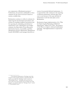are components of Reclamation projects.<sup>2</sup> Furthermore, the precision attributable to these estimates for the assets involved is based on current, available data.

Reclamation continues to refine its estimates by improving the documentation procedures and systems for tracking condition assessments and for reporting the scheduling and deferral of maintenance work. Reclamation uses budget estimates, the Dam Safety/Power Resources Information System, Accessibility and Data Management System, Maintenance Management System (MAXIMO), and manager discretion as

sources for potential deferred maintenance. It is expected that wide variations in the reporting of deferred maintenance will take place from year to year because of the type and kind of maintenance work that takes place across Reclamation.

Reclamation began implementation of its "Plan for Improving the Reporting of Deferred Maintenance" (Plan) in FY 1999. The purpose of the Plan is to improve deferred maintenance reporting. Full implementation is expected by FY 2004.

<sup>2</sup> The deferred maintenance of heritage assets that are part of active project features is reported under this section, not under the "Heritage Assets" section of "Stewardship Assets." Heritage assets that may have been a part of an active project, but no longer serve that purpose, are reported under the "Heritage Assets" section of "Stewardship Assets."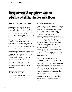# Required Supplemental<br>Stewardship Information Stewardship Information

## **[STEWARDSHIP ASSETS](#page-5-0)**

Stewardship assets—officially known as Stewardship Property, Plant, and Equipment (PP&E)—are resources owned by the Federal Government that involve substantial investment for the long-term benefit of the Nation and meet one of the following definitions from the Federal Accounting Standards Advisory Board.

Heritage assets are PP&E that are unique because they have historical or natural significance; are of cultural, educational, or artistic importance; or have significant architectural characteristics. Heritage assets are expected to be preserved indefinitely.

Stewardship lands include land and land rights owned by the Federal Government and not acquired for, or in connection with, general PP&E. Examples include parks, wildlife reserves, forests, and grazing lands. All withdrawn lands are stewardship lands.

As discussed in the following sections, Reclamation has identified stewardship assets in the heritage asset and stewardship land categories.

## **[HERITAGE ASSETS](#page-5-0)**

Heritage assets are divided into two major groups—cultural and natural.

### **[Cultural Heritage Assets](#page-5-0)**

Cultural resources laws and regulations mandate that agencies identify and evaluate all cultural resources (e.g., archaeological sites, historic buildings and structures, and important ethnographic locales) on their lands. These resources are evaluated against criteria to determine eligibility for listing in the *National Register of Historic Places* (National Register); listed or eligible resources are called "historic properties" as defined in 36 Code of Federal Regulations Part 60. Properties of exceptional value are designated National Historic Landmarks (NHLs) and are afforded a high level of protection. National Historic Landmarks and both National Register listed and eligible properties meet the definition of non-collectible heritage assets. A summary of Reclamation's non-collectible heritage assets is included in table 6.

Some historic properties are used by Reclamation to carry out its mission. These meet the Federal Accounting Standard Advisory Board (FASAB) definition of multiuse heritage assets, "heritage assets whose predominant use is general government operations." Of the 54 historic properties and districts listed in the National Register, 26 are multiuse heritage assets; these include dams, water distribution systems, a bridge, and office buildings. Of the remaining 28 non-multiuse historic properties and districts, 19 are archaeological properties and 9 are historic buildings or structures. Capital investment costs for multiuse heritage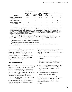|                                                    | September 30,   |                             | With-              | September 30,       |      | Condition <sup>'</sup> |      |
|----------------------------------------------------|-----------------|-----------------------------|--------------------|---------------------|------|------------------------|------|
| Category                                           | 2002<br>(Units) | <b>Additions</b><br>(Units) | drawals<br>(Units) | 2003<br>(Units)     | Good | Fair                   | Poor |
| Archaeological and Historical<br>Properties        | 13,385          | $^{2}$ 148                  | $3$ 11,979         | $^{4}$ 1,554        | 29   | 5                      | 6    |
| National Historic Landmarks                        | 5               | $\Omega$                    | 0                  | $^{5}$ <sub>5</sub> | 3    | 0                      | 2    |
| National Register of Historic<br>Places - Listings | 59              | 0                           | 5                  | $^6$ 54             | 15   | 5                      |      |
| Total                                              | 13,449          | 148                         | 11,984             | 1,613               | 47   | 10                     | 9    |
|                                                    |                 |                             |                    |                     |      |                        |      |

#### **Table 6.—Non-Collectible Heritage Assets**

The condition of heritage assets varies depending on the type, location, and use. Condition assessments have not been conducted on all properties, although more information is available this year than last. Condition of multiuse heritage assets is discussed and disclosed under "Deferred Maintenance" in the "Required Supplemental Stewardship Information" section of this report. The two NHLs identified as in poor condition are Folsom Powerhouse and the Carlsbad Irrigation District. Plans for the rehabilitation of the Folsom Powerhouse are currently under review, and potential reuse of several abandoned and deteriorated structures at Carlsbad are being evaluated.

 $2$  The number of eligible properties increased due to ongoing survey and evaluation of cultural resources.

 $^3$  The large number of withdrawals is due to a stricter application of the definition of Heritage Assets to properties in this category. Only those archaeological and historical properties that have been determined eligible for listing in the National Register are now included. Unevaluated properties and those determined ineligible have been eliminated.

4 This number includes 1,519 individual properties and 35 districts.

 $<sup>5</sup>$  This number includes two districts and three individual properties.</sup>

 $^6$  The number of listed properties is fewer than the number reported in 2002. Listed properties include 16 districts and 38 individual properties.

and equipment in the principal financial collection was reduced in FY 2003 by service life, as discussed in the "Notes to the result of: Financial Statements." Reclamation has not identified any deferred maintenance for its 1. Better estimates of the items yet to be single-use, inactive heritage assets. cataloged.

Program is to identify, retain, and protect items as "potential" that had not formally been property related to Reclamation's history and mission.  $\frac{accessone}{collection}$ Reclamation submitted its "Bureau Museum" Property Program Summary Report" to Interior 4. Correction of values transposed or in a report entitled *Required Supplementary* duplicated in previous years. *Stewardship and Heritage Assets and Museum Property Management Data.* This report includes Reclamation's museum property collections are sections on FY 2003 museum property<br>
accomplishments resources issues Reclamation facilities and 31 Reclamation facilities or accomplishments, resources, issues, Reclama-<br>
tacilities and 31 Reclamation facilities or<br>
administrative offices (table 8). Table 7 tion Plan revisions, goals, history, oversight, and collection size. and collection size.

assets are capitalized as general property, plant, Reclamation's estimated total museum property statements and depreciated over the assets' 2.3 million items (table 7). This reduction was a

- 
- 2. The removal of official records, working **Museum Property** collections, and reference collections.
- The mission of Reclamation's Museum Property 3. The removal of items previously identified<br>as "potential" that had not formally been
	-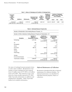| <b>Estimated</b><br>Total<br><b>Collection</b> |                                                |                    | <b>Estimated Total</b>                   | <b>Total</b><br>Number of | Number of<br>Cataloged<br><b>Items with</b><br><b>Item-Level</b> | <b>Number of Cataloged</b><br>Items in Good, Fair, and<br><b>Poor Condition</b> |       |       |
|------------------------------------------------|------------------------------------------------|--------------------|------------------------------------------|---------------------------|------------------------------------------------------------------|---------------------------------------------------------------------------------|-------|-------|
| <b>Size</b><br>FY 2002                         | <b>Additions</b>                               | <b>Withdrawals</b> | <b>Collection Size</b><br><b>FY 2003</b> | Items<br>Cataloged        | Condition<br>Data                                                | Good                                                                            | Fair  | Poor  |
| 10.004.037                                     | 1.458.272<br>2.086 cubic feet 6.683 cubic feet | 3.773.712          | 7.688.597<br>8.769 cubic feet            | 6.821.441                 |                                                                  | 234.413 223.974                                                                 | 9.089 | 1.350 |

#### **Table 7.—Status of Cataloging and Condition of Cataloged Items**

#### **Table 8.—Estimated Museum Property Size**

Number of Reclamation Units Holding Museum Property: 31

| Number of Other Institutions Holding Museum Property for Reclamation: 67 |  |
|--------------------------------------------------------------------------|--|
|                                                                          |  |

| <b>Discipline</b>              | Number of<br>Objects in<br><b>Reclamation Facilities</b> | Number of<br><b>Objects in Other</b><br><b>Institutions</b> | <b>Total Number</b><br>of Reclamation<br><b>Objects</b> |
|--------------------------------|----------------------------------------------------------|-------------------------------------------------------------|---------------------------------------------------------|
| Archaeology                    | 2,270,783                                                | 4,125,631<br>5,529 cubic feet                               | 6,396,414<br>5,529 cubic feet                           |
| Art                            | 292                                                      | 0                                                           | 292                                                     |
| Ethnography                    | 6                                                        | 0                                                           | 6                                                       |
| History                        | 2,515                                                    | 3                                                           | 2,518                                                   |
| Documents                      | 686,791                                                  | 589,886                                                     | 1,276,677                                               |
| Botany                         | 0                                                        | 0                                                           | 0                                                       |
| Zoology                        | 0                                                        | 0                                                           | 0                                                       |
| Paleontology                   | 8                                                        | 12,170<br>3,240 cubic feet                                  | 12,178<br>3,240 cubic feet                              |
| Geology                        | 510                                                      | 0                                                           | 510                                                     |
| <b>Environmental Samples</b>   | $\overline{2}$                                           | 0                                                           | 2                                                       |
| <b>Total Number of Objects</b> | 2,960,907                                                | 4,727,690<br>8,769 cubic feet                               | 7,688,597<br>8,769 cubic feet                           |

the status of cataloged museum property items, as well as their condition. Reclamation's total number of items cataloged has been reduced from 6.9 million items in FY 2002 to 6.8 million items in FY 2003. This reduction is due to the removal of items double reported in FY 2002. Table 9 provides information on additions and withdrawals by discipline. Table 10 provides facility level condition information.

### *[Deferred Maintenance of Collections](#page-5-0)*

Reclamation identified \$126,500 of deferred maintenance for collection facilities. No deferred maintenance was identified for individual museum property objects or collections.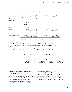| <b>Discipline</b>              | FY 2002<br><b>Totals</b>       | FY 2003<br><b>Additions</b>   | FY 2003<br>Withdrawals | FY 2003<br><b>Totals</b>      |
|--------------------------------|--------------------------------|-------------------------------|------------------------|-------------------------------|
| Archaeology                    | 6,847,056<br>2,086 cubic feet  | 990,457<br>3,443 cubic feet   | 1,441,099              | 6,396,414<br>5,529 cubic feet |
| Art                            | 299                            | 0                             | 7                      | 292                           |
| Ethnography                    | 11                             | 0                             | 5                      | 6                             |
| History                        | $^{2}$ 4,006                   | 405                           | 1,893                  | 2,518                         |
| Documents                      | $3$ <sub>3,100,771</sub>       | 467,299                       | 2,291,393              | 1,276,677                     |
| Botany                         | 104                            | 0                             | 104                    | $\mathbf 0$                   |
| Zoology                        | $\Omega$                       | 0                             | 0                      | $\Omega$                      |
| Paleontology                   | $^{4}$ 51,366                  | 9<br>3,240 cubic feet         | 39,197                 | 12,178<br>3,240 cubic feet    |
| Geology                        | $^{5}$ 424                     | 100                           | 14                     | 510                           |
| <b>Environmental Samples</b>   | 0                              | 2                             | 0                      | $\overline{2}$                |
| <b>Total Number of Objects</b> | 10,004,037<br>2,086 cubic feet | 1,458,272<br>6,683 cubic feet | 3,773,712              | 7,688,597<br>8,769 cubic feet |

#### **Table 9.—Additions and Withdrawals to Museum Collections by Discipline**

 $^1$  This total was changed to 6,874,056 to correct for an under reporting of 27,000 archaeological objects during FY 2002. Also, a subset 3,676,952 of the total represent combined values for items and cubic feet. A breakout of the total is represented by 2,899,167 items and 623 cubic feet.

 $^2$  This total was changed to 4,006 to correct for an over reporting of 303 historic objects during FY 2002.

 $^3$  This total was changed to 3,100,770 to correct for the double reporting of 564 cubic feet of documents during FY 2002.

 $^4$  This total was changed to 51,366 to correct for an over reporting of 1,552 historic objects during FY 2002.

 $^5$  This total was changed to 424 to correct for an under reporting of 100 historic objects during FY 2002.

|                               | Number of<br>Locations<br>Housing                  | Number of                     | <b>Condition of Collections Based</b><br>on the % of Interior Standards<br>Met by the Locations Evaluated |                       |                         |  |  |  |
|-------------------------------|----------------------------------------------------|-------------------------------|-----------------------------------------------------------------------------------------------------------|-----------------------|-------------------------|--|--|--|
|                               | <b>Reclamation</b><br>Museum<br><b>Collections</b> | Locations<br><b>Evaluated</b> | Good<br>(Meet > 70%)                                                                                      | Fair<br>(Meet 50-70%) | Poor<br>(Meet $< 50\%)$ |  |  |  |
| Reclamation/Office facilities | 31                                                 | 27                            | 14                                                                                                        | 4                     | 9                       |  |  |  |
| Other facilities              | 67                                                 | 37                            | 20                                                                                                        | 10                    |                         |  |  |  |

#### **Table 10.—Conditions at Locations Housing Bureau Collections**

### *[Native American Graves Protection and](#page-5-0)  Repatriation Act*

Reclamation's museum property collection also includes cultural items (i.e., Native American human remains, funerary objects, sacred objects, and objects of cultural patrimony) identified under the Native American Graves

Protection and Repatriation Act of 1990 (NAGPRA). Only NAGPRA cultural items collected prior to November 16, 1990, are considered museum property, while such items discovered or excavated on or after this date are tracked outside Reclamation's museum property system.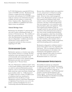In FY 2003, Reclamation expended \$192 thousand on NAGPRA activities. Reclamation will continue to update previously submitted inventories and summaries for NAGPRA items under its control as new information becomes available and will continue to consult with Native American tribes. Repatriations will occur as affiliation is established and *Federal Register* notices are published.

### *[Natural Heritage Assets](#page-5-0)*

Reclamation has identified 171 paleontological sites and 2 locales on Reclamation lands, an increase of 56 from last year. The condition of these sites and locales has not been assessed, other than Reclamation's knowledge that the sites are safeguarded. Condition assessments will become an active element of the management activities for these resources beginning in FY 2004.

## **[STEWARDSHIP LAND](#page-5-0)**

Reclamation operates as a business-type entity, whose primary mission is to manage, develop, and protect water and related resources in an environmentally and economically sound manner in the interest of the American public. Reclamation provides water and power throughout the 17 Western States.

The term "Reclamation withdrawn lands" refers to those lands withdrawn from public entry and set aside for authorized Reclamation project purposes, such as constructing and operating dams, reservoirs, water conveyance systems, and power facilities (table 11). Of Reclamation's 8.7 million total acres of land, 5.8 million acres of withdrawn land were transferred to Reclamation from the Bureau of Land Management and the United States Department of Agriculture Forest Service at no cost to the project or project beneficiaries for use in constructing authorized Reclamation projects.

Because these withdrawn lands were acquired at no cost, and pursuant to Federal accounting standards, they are considered stewardship lands. However, from a land management point of view, Reclamation's projects consist of both acquired and withdrawn lands which include a variety of land rights held by leases, easements, and other contractual agreements that were acquired for, or in connection with, general property, plant, and equipment. Since both acquired and withdrawn lands are managed exactly the same and both are used in connection with authorized project purposes, they more closely resemble general property, plant, and equipment, rather than stewardship assets. While Reclamation's lands are acquired or withdrawn for specific project purposes, if they don't interfere, other activities such as boating, camping, fishing, wildlife management, and livestock grazing may be authorized.

Reclamation safeguards its withdrawn lands to protect them against waste, loss, degradation, and misuse. They are managed consistent with their intended purposes in accordance with Federal laws and regulations and are not materially degraded while under Government care. Site reviews are conducted on Reclamation lands on a 5-year cycle.

## **[STEWARDSHIP INVESTMENTS](#page-5-0)**

Stewardship investments are substantial investments made by the Federal Government to yield long-term public benefits. The FASAB requires reporting for three categories of stewardship investments—non-Federal physical property, research and development, and human capital. As discussed in the following sections, Reclamation has identified stewardship investments in all three categories.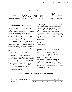|                                  |                                  | <b>Federal Withdrawn Acres</b> |                          | <b>Total</b><br>Non-          | Combined                |                              |                  |
|----------------------------------|----------------------------------|--------------------------------|--------------------------|-------------------------------|-------------------------|------------------------------|------------------|
| Category                         | <b>Beginning</b><br><b>Acres</b> | <b>Additions</b>               | With-<br>drawals         | <b>Ending</b><br><b>Acres</b> | Federal<br><b>Acres</b> | <b>Total</b><br><b>Acres</b> | <b>Condition</b> |
| <b>Reclamation Project Lands</b> | 5.801.369                        | 59,785                         | $\overline{\phantom{0}}$ | 5,861,154                     | $\qquad \qquad -$       | 5,861,154                    | Acceptable       |

**Table 11.—Stewardship Lands** 

renovation of physical property that is not include major additions, alterations, balances to conform to current year and the purchase or improvement of other physical assets owned by non-Federal entities, *Title Transfers to State and Local* Reclamation invests in non-Federal physical Federal physical property programs to more property (table 12), which is comprised of appropriately align under Water and Related expenses incurred by the Federal Government. for the purchase, construction, or major \$27.1 million, \$19.4 million, \$9.5 million, and owned by the Federal Government. Costs and 1999, respectively, to reclassify prior year replacements, the purchase of major equipment, such as State or local governments. Grants for *Governments*  maintenance and operations are not considered investments in non-Federal physical property. Reclamation initiated a title transfer program

assistance through a variety of measures, all physical property at the time they are expenses for specific programs to provide for and raculties used in State and local irrigation<br>
projects, and water quality improvement<br>
depreciation of \$40.7 million. Land costs riabitats unough activities such as the rice of Reclamation's financial statements. facilities are also included. The investments listed in table 12 provide related to water and related resources transferred. In FY 2003, the net book value of management. For example, Reclamation incurs the construction or improvement of structures and facilities used in State and local irrigation projects. Reclamation-wide programs that<br>improve State and local fish and wildlife<br>habitats through activities such as the<br>construction or betterment of structures or<br>Reclamation's financial statements.

and Wildlife Habitat (Reclamation-wide) non-Resources Management. Adjustments for presentation. **[Non-Federal Physical Property](#page-5-0)** In FY 2003, Reclamation combined certain Fish \$(.8) million were made to FY 2002, 2001, 2000,

whereby assets constructed with Federal funding meet the criteria for non-Federal assets transferred to State and local governments totaled approximately Title transfers are further disclosed in Note 7 of \$23.4 million, of which \$56.4 million was

**Table 12.—Program Investments in Non-Federal Physical Property (\$ in Millions)** 

|                                        |              | 2003       |      | 2002       | 2001  | 2000        |    | 1999  |
|----------------------------------------|--------------|------------|------|------------|-------|-------------|----|-------|
| Water and Related Resources Management | $\mathbf{s}$ | $124.4$ \$ |      | 118.9 \$   | 105.1 | \$<br>126.0 | \$ | 115.6 |
| <b>Total Investment</b>                |              | \$124.4    | - \$ | $118.9$ \$ | 105.1 | \$<br>126.0 | S  | 115.6 |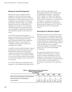### **Research and Development** Water and Energy Management and

Reclamation invests in applied research and Rehabilitation segment. Adjustments<br>programs to aid in the water and energy for \$2.7 million, \$1.1 million, \$2.5 million, programs to aid in the water and energy management challenges facing the arid West. and \$.7 million were made to FY 2002, 2001, management, the development of solutions year balances to conform to current year pertaining to flood hydrology, water quality, presentation. Reclamation's investments in irrigation return flows, and the delivery of Research and Development for FY 2003 and hydropower to the West. The information the preceding 4 years are summarized in obtained through these programs provides table 13. water management solutions and techniques that yield future benefits to the Nation as a **[Investment in Human Capital](#page-5-0)** whole.

In FY 2003, research and development expenses incurred under the Water and Energy Management and Development Program activity produced benefits which supported Reclamation's goals of increasing water

incurred under the Facility Maintenance and Rehabilitation Program activity provided Rehabilitation I rogian activity provided<br>support and benefits which enabled Reclama-<br>available to Job Corps students. Table 14

programs to more appropriately align with the

Development segment and the Maintenance Programs focus on the improvement of water 2000, and 1999, respectively, to reclassify prior

Reclamation operates five Job Corps Centers (Centers), based on an interagency agreement with the Department of Labor for the purpose of educating and training disadvantaged youth. In 2003, Reclamation expended \$29.9 million in recianization is goals of increasing water<br>availability, improving water quality, and<br>managing water supplies.<br>technology, painting, woodworking, welding, In addition, research and development expenses culinary arts, and social and leadership<br>development.

support and benefits which enabled Reclama-<br>tion to meet the goals of operating its facilities<br>in a more cost-effective manner and providing<br>safe and reliable supplies of power and water to<br>its customers.<br>its customers.<br>it In FY 2003, Reclamation reclassified certain percentage of the graduates in the placement pool.

| (\$ in Millions)                               |  |      |  |                                         |  |      |      |      |
|------------------------------------------------|--|------|--|-----------------------------------------|--|------|------|------|
|                                                |  | 2003 |  | 2002                                    |  | 2001 | 2000 | 1999 |
| Water and Energy Management and Development    |  |      |  | $$17.2$ \$ 17.6 \$ 15.9 \$ 14.7 \$ 12.9 |  |      |      |      |
| <b>Facility Maintenance and Rehabilitation</b> |  | 1.1  |  | 1.4                                     |  | 1.5  | 1.4  | 1.6  |
| Total Investment                               |  |      |  | \$ 18.3 \$ 19.0 \$ 17.4 \$ 16.1 \$ 14.5 |  |      |      |      |
|                                                |  |      |  |                                         |  |      |      |      |

#### **Table 13.—GPRA Program Activity Investments in Research and Development**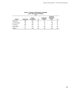| <b>Center</b>  | <b>Graduates</b> | <b>Center</b><br><b>Enrollment</b> | %  | <b>Graduates</b><br><b>Placed</b> | Graduate<br><b>Placement</b><br>Pool | %  |
|----------------|------------------|------------------------------------|----|-----------------------------------|--------------------------------------|----|
| Centennial     | 258              | 263                                | 98 | 111                               | 141                                  | 79 |
| Columbia Basin | 194              | 230                                | 84 | 66                                | 96                                   | 69 |
| Ft. Simcoe     | 201              | 207                                | 97 | 71                                | 92                                   | 77 |
| Weber Basin    | 177              | 221                                | 80 | 136                               | 145                                  | 94 |
| Collbran       | 141              | 216                                | 65 | 93                                | 105                                  | 89 |

#### **Table 14.—Number of Reclamation Graduates of the Total Center Enrollment (%)**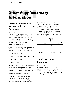# **Other Supplementary** Information

## **INTERNAL REVIEWS AND [AUDITS OF RECLAMATION](#page-5-0)  PROGRAMS**

We have placed increased emphasis on the improvement of policies and practices related to accounting and financial reporting by strategically managing our resources to ensure financial accountability. Our goal is to provide accurate and timely information that not only withstands audit scrutiny, but sets a new, higher standard for financial reporting.

During FY 2003, Reclamation completed four Alternative Management Control Reviews (AMCR). The functional areas reviewed were:

- 1. Hazardous Materials
- 2. Program Assessment Rating Tool (PART)
- 3. Dam Safety Program
- 4. Museum Property

In addition, the survey portion of the AMCR on the Crediting of Incidental Revenues was initiated; the results of this survey will be analyzed in FY 2004 to determine the need for onsite reviews. No material weaknesses were revealed during the FY 2003 reviews.

During 2003, 13 corrective actions from previous management control reviews were completed. As of September 30, 2003, 75 outstanding corrective actions remained. During FY 2003, the Office of Inspector General (OIG) and General Accounting Office (GAO) audit activity included Reclamation specific audits, Interior, or Government-wide audits which included Reclamation issues. The OIG completed 5 audits, and the GAO completed 11 audits. The following is a summary of the status of audit recommendations.

|     | FY 2003<br>Recommen-<br>dations | Recommen-<br>dations<br>Implemented/<br><b>Closed</b><br>in FY 2003 | Outstanding<br>Recommen-<br>dations <sup>2</sup> |
|-----|---------------------------------|---------------------------------------------------------------------|--------------------------------------------------|
| OIG | 25                              | 26                                                                  |                                                  |
| GAO |                                 |                                                                     | з                                                |

1 Recommendations may have resulted from audits in previous years.

 $2$  Outstanding recommendations may have resulted from prior year audits.

## **[SAFETY OF DAMS](#page-5-0)  PROGRAM**

The goals and major accomplishments of Reclamation's Safety of Dams Program were described in the "Management Discussion and Analysis" section. More detail concerning specific Safety of Dams Program modification activities is presented in table 15.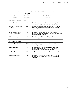| Dam Name and<br>Location                      | <b>Estimated</b><br>Total<br><b>Project Cost</b><br>(\$ in Millions) | <b>Major Modification</b><br><b>Features</b>                                                                                                                                                                               |  |  |  |  |  |  |
|-----------------------------------------------|----------------------------------------------------------------------|----------------------------------------------------------------------------------------------------------------------------------------------------------------------------------------------------------------------------|--|--|--|--|--|--|
| <b>Modifications Substantially Completed</b>  |                                                                      |                                                                                                                                                                                                                            |  |  |  |  |  |  |
| Bull Lake Dam, Wyoming                        | 0.3                                                                  | Strengthening the spillway with support columns, grouting, and<br>installation of slide gates to reduce risk of spillway failure.                                                                                          |  |  |  |  |  |  |
| Horsetooth Reservoir Dams,<br>Colorado        | 68.2                                                                 | Installing drainage features and stabilizing berms on the four<br>Horsetooth dams and constructing an upstream reservoir<br>blanket, which will serve to lengthen the seepage paths and<br>reduce flows in the foundation. |  |  |  |  |  |  |
| Salmon Lake Dam (Outlet<br>Works), Washington | 0.9                                                                  | Modifying the dam to reduce risk due to severe concrete<br>deterioration of the outlet works, which would act as a conduit for<br>piping embankment materials.                                                             |  |  |  |  |  |  |
| Wickiup Dam, Oregon                           | 44.6                                                                 | Strengthening foundation and building stability berm to increase<br>stability during earthquakes.                                                                                                                          |  |  |  |  |  |  |
| <b>Modifications Underway</b>                 |                                                                      |                                                                                                                                                                                                                            |  |  |  |  |  |  |

| Keechelus Dam, Washington | 35.2 | Removing and replacing weak foundation materials and<br>constructing a stability berm.                                                                                           |
|---------------------------|------|----------------------------------------------------------------------------------------------------------------------------------------------------------------------------------|
| Pineview Dam, Utah        | 19.8 | Modifying spillway, removing and replacing weak foundation<br>materials, constructing a stability berm, adding a filter, and<br>raising the dam to improve earthquake stability. |
| Deer Creek Dam, Utah      | 30.0 | Modifying the embankment to the spillway to address seismic<br>stability concerns.                                                                                               |
| Deadwood Dam, Idaho       | 3.0  | Modifying the dam to correct potential instability of the left<br>abutment foundation block under static and seismic loading<br>conditions.                                      |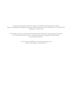Comments and questions about this report or its contents can be made to Ed Abreo, Bureau of Reclamation, Management Services Office, D-7600, P.O. Box 25508, Denver CO 80225-0508. Telephone: 303-445-3423

This report was written and produced by Reclamation's Technical Communications Group and the Visual Presentations Group. All financial material was prepared by Reclamation's Financial Policy Division.

> To view this Annual Report on the Internet, please visit <http://www.usbr.gov/main/library/>.